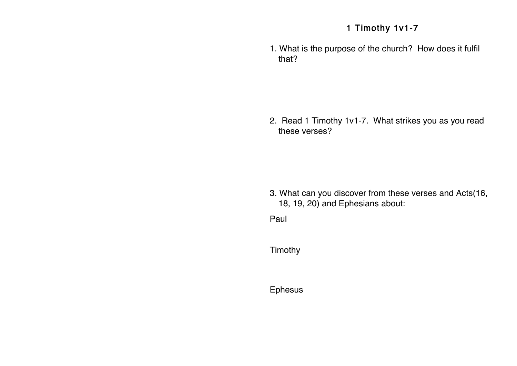## 1 Timothy 1v1-7

1. What is the purpose of the church? How does it fulfil that?

2. Read 1 Timothy 1v1-7. What strikes you as you read these verses?

3. What can you discover from these verses and Acts(16, 18, 19, 20) and Ephesians about:

Paul - Apostle, called by Jesus, God to Gentiles. Called by Jesus, God to Gentiles. Called to Gentiles. Called

Timothy

Ephesus